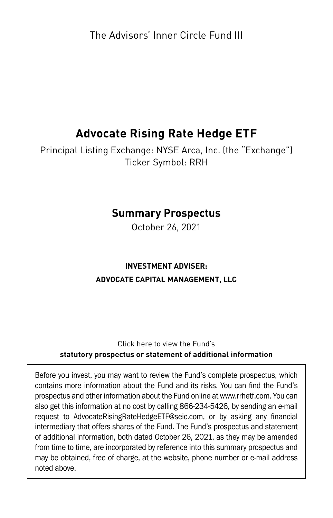The Advisors' Inner Circle Fund III

# **Advocate Rising Rate Hedge ETF**

Principal Listing Exchange: NYSE Arca, Inc. (the "Exchange") Ticker Symbol: RRH

# **Summary Prospectus**

October 26, 2021

## **INVESTMENT ADVISER: ADVOCATE CAPITAL MANAGEMENT, LLC**

#### Click here to view the Fund's **[statutory prospectus](https://rrhetf.com/assets/pdfs/advocate_rrh_pro.pdf) or [statement of additional information](https://rrhetf.com/assets/pdfs/advocate_rrh_sai.pdf)**

Before you invest, you may want to review the Fund's complete prospectus, which contains more information about the Fund and its risks. You can find the Fund's prospectus and other information about the Fund online at www.rrhetf.com. You can also get this information at no cost by calling 866-234-5426, by sending an e-mail request to AdvocateRisingRateHedgeETF@seic.com, or by asking any financial intermediary that offers shares of the Fund. The Fund's prospectus and statement of additional information, both dated October 26, 2021, as they may be amended from time to time, are incorporated by reference into this summary prospectus and may be obtained, free of charge, at the website, phone number or e-mail address noted above.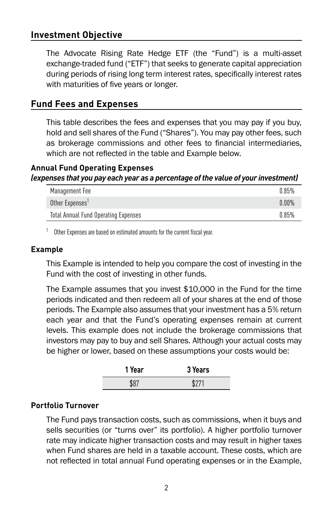## **Investment Objective**

The Advocate Rising Rate Hedge ETF (the "Fund") is a multi-asset exchange-traded fund ("ETF") that seeks to generate capital appreciation during periods of rising long term interest rates, specifically interest rates with maturities of five years or longer.

#### **Fund Fees and Expenses**

This table describes the fees and expenses that you may pay if you buy, hold and sell shares of the Fund ("Shares"). You may pay other fees, such as brokerage commissions and other fees to financial intermediaries, which are not reflected in the table and Example below.

#### **Annual Fund Operating Expenses**  *(expenses that you pay each year as a percentage of the value of your investment)*

| Management Fee                       | 0.85%    |
|--------------------------------------|----------|
| Other Expenses'                      | $0.00\%$ |
| Total Annual Fund Operating Expenses | 0.85%    |

 $1$  Other Expenses are based on estimated amounts for the current fiscal year.

#### **Example**

This Example is intended to help you compare the cost of investing in the Fund with the cost of investing in other funds.

The Example assumes that you invest \$10,000 in the Fund for the time periods indicated and then redeem all of your shares at the end of those periods. The Example also assumes that your investment has a 5% return each year and that the Fund's operating expenses remain at current levels. This example does not include the brokerage commissions that investors may pay to buy and sell Shares. Although your actual costs may be higher or lower, based on these assumptions your costs would be:

| Year | 3 Years      |
|------|--------------|
| ÆЛ.  | <b>¢</b> ን71 |
|      |              |

#### **Portfolio Turnover**

The Fund pays transaction costs, such as commissions, when it buys and sells securities (or "turns over" its portfolio). A higher portfolio turnover rate may indicate higher transaction costs and may result in higher taxes when Fund shares are held in a taxable account. These costs, which are not reflected in total annual Fund operating expenses or in the Example,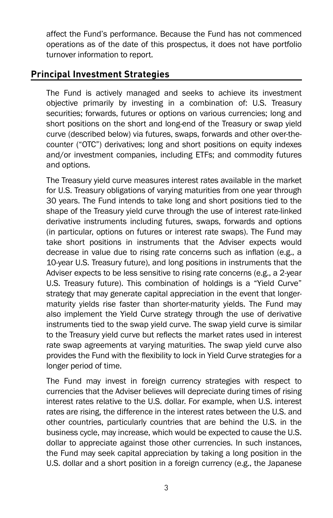affect the Fund's performance. Because the Fund has not commenced operations as of the date of this prospectus, it does not have portfolio turnover information to report.

### **Principal Investment Strategies**

The Fund is actively managed and seeks to achieve its investment objective primarily by investing in a combination of: U.S. Treasury securities; forwards, futures or options on various currencies; long and short positions on the short and long-end of the Treasury or swap yield curve (described below) via futures, swaps, forwards and other over-thecounter ("OTC") derivatives; long and short positions on equity indexes and/or investment companies, including ETFs; and commodity futures and options.

The Treasury yield curve measures interest rates available in the market for U.S. Treasury obligations of varying maturities from one year through 30 years. The Fund intends to take long and short positions tied to the shape of the Treasury yield curve through the use of interest rate-linked derivative instruments including futures, swaps, forwards and options (in particular, options on futures or interest rate swaps). The Fund may take short positions in instruments that the Adviser expects would decrease in value due to rising rate concerns such as inflation (e.g., a 10-year U.S. Treasury future), and long positions in instruments that the Adviser expects to be less sensitive to rising rate concerns (e.g., a 2-year U.S. Treasury future). This combination of holdings is a "Yield Curve" strategy that may generate capital appreciation in the event that longermaturity yields rise faster than shorter-maturity yields. The Fund may also implement the Yield Curve strategy through the use of derivative instruments tied to the swap yield curve. The swap yield curve is similar to the Treasury yield curve but reflects the market rates used in interest rate swap agreements at varying maturities. The swap yield curve also provides the Fund with the flexibility to lock in Yield Curve strategies for a longer period of time.

The Fund may invest in foreign currency strategies with respect to currencies that the Adviser believes will depreciate during times of rising interest rates relative to the U.S. dollar. For example, when U.S. interest rates are rising, the difference in the interest rates between the U.S. and other countries, particularly countries that are behind the U.S. in the business cycle, may increase, which would be expected to cause the U.S. dollar to appreciate against those other currencies. In such instances, the Fund may seek capital appreciation by taking a long position in the U.S. dollar and a short position in a foreign currency (e.g., the Japanese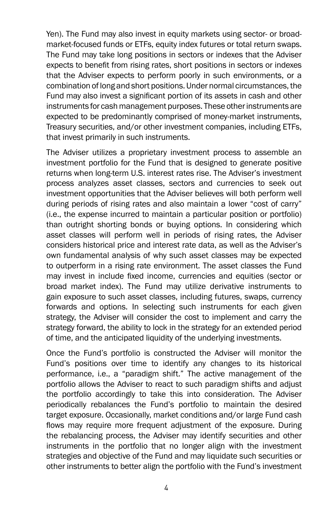Yen). The Fund may also invest in equity markets using sector- or broadmarket-focused funds or ETFs, equity index futures or total return swaps. The Fund may take long positions in sectors or indexes that the Adviser expects to benefit from rising rates, short positions in sectors or indexes that the Adviser expects to perform poorly in such environments, or a combination of long and short positions. Under normal circumstances, the Fund may also invest a significant portion of its assets in cash and other instruments for cash management purposes. These other instruments are expected to be predominantly comprised of money-market instruments, Treasury securities, and/or other investment companies, including ETFs, that invest primarily in such instruments.

The Adviser utilizes a proprietary investment process to assemble an investment portfolio for the Fund that is designed to generate positive returns when long-term U.S. interest rates rise. The Adviser's investment process analyzes asset classes, sectors and currencies to seek out investment opportunities that the Adviser believes will both perform well during periods of rising rates and also maintain a lower "cost of carry" (i.e., the expense incurred to maintain a particular position or portfolio) than outright shorting bonds or buying options. In considering which asset classes will perform well in periods of rising rates, the Adviser considers historical price and interest rate data, as well as the Adviser's own fundamental analysis of why such asset classes may be expected to outperform in a rising rate environment. The asset classes the Fund may invest in include fixed income, currencies and equities (sector or broad market index). The Fund may utilize derivative instruments to gain exposure to such asset classes, including futures, swaps, currency forwards and options. In selecting such instruments for each given strategy, the Adviser will consider the cost to implement and carry the strategy forward, the ability to lock in the strategy for an extended period of time, and the anticipated liquidity of the underlying investments.

Once the Fund's portfolio is constructed the Adviser will monitor the Fund's positions over time to identify any changes to its historical performance, i.e., a "paradigm shift." The active management of the portfolio allows the Adviser to react to such paradigm shifts and adjust the portfolio accordingly to take this into consideration. The Adviser periodically rebalances the Fund's portfolio to maintain the desired target exposure. Occasionally, market conditions and/or large Fund cash flows may require more frequent adjustment of the exposure. During the rebalancing process, the Adviser may identify securities and other instruments in the portfolio that no longer align with the investment strategies and objective of the Fund and may liquidate such securities or other instruments to better align the portfolio with the Fund's investment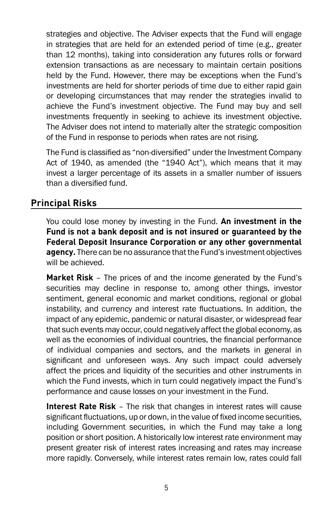strategies and objective. The Adviser expects that the Fund will engage in strategies that are held for an extended period of time (e.g., greater than 12 months), taking into consideration any futures rolls or forward extension transactions as are necessary to maintain certain positions held by the Fund. However, there may be exceptions when the Fund's investments are held for shorter periods of time due to either rapid gain or developing circumstances that may render the strategies invalid to achieve the Fund's investment objective. The Fund may buy and sell investments frequently in seeking to achieve its investment objective. The Adviser does not intend to materially alter the strategic composition of the Fund in response to periods when rates are not rising.

The Fund is classified as "non-diversified" under the Investment Company Act of 1940, as amended (the "1940 Act"), which means that it may invest a larger percentage of its assets in a smaller number of issuers than a diversified fund.

### **Principal Risks**

You could lose money by investing in the Fund. **An investment in the Fund is not a bank deposit and is not insured or guaranteed by the Federal Deposit Insurance Corporation or any other governmental agency.** There can be no assurance that the Fund's investment objectives will be achieved.

**Market Risk** – The prices of and the income generated by the Fund's securities may decline in response to, among other things, investor sentiment, general economic and market conditions, regional or global instability, and currency and interest rate fluctuations. In addition, the impact of any epidemic, pandemic or natural disaster, or widespread fear that such events may occur, could negatively affect the global economy, as well as the economies of individual countries, the financial performance of individual companies and sectors, and the markets in general in significant and unforeseen ways. Any such impact could adversely affect the prices and liquidity of the securities and other instruments in which the Fund invests, which in turn could negatively impact the Fund's performance and cause losses on your investment in the Fund.

**Interest Rate Risk** – The risk that changes in interest rates will cause significant fluctuations, up or down, in the value of fixed income securities, including Government securities, in which the Fund may take a long position or short position. A historically low interest rate environment may present greater risk of interest rates increasing and rates may increase more rapidly. Conversely, while interest rates remain low, rates could fall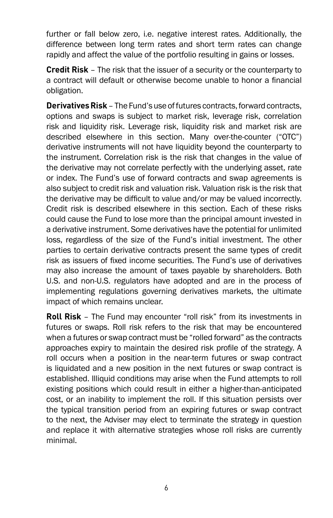further or fall below zero, i.e. negative interest rates. Additionally, the difference between long term rates and short term rates can change rapidly and affect the value of the portfolio resulting in gains or losses.

**Credit Risk** – The risk that the issuer of a security or the counterparty to a contract will default or otherwise become unable to honor a financial obligation.

**Derivatives Risk** – The Fund's use of futures contracts, forward contracts, options and swaps is subject to market risk, leverage risk, correlation risk and liquidity risk. Leverage risk, liquidity risk and market risk are described elsewhere in this section. Many over-the-counter ("OTC") derivative instruments will not have liquidity beyond the counterparty to the instrument. Correlation risk is the risk that changes in the value of the derivative may not correlate perfectly with the underlying asset, rate or index. The Fund's use of forward contracts and swap agreements is also subject to credit risk and valuation risk. Valuation risk is the risk that the derivative may be difficult to value and/or may be valued incorrectly. Credit risk is described elsewhere in this section. Each of these risks could cause the Fund to lose more than the principal amount invested in a derivative instrument. Some derivatives have the potential for unlimited loss, regardless of the size of the Fund's initial investment. The other parties to certain derivative contracts present the same types of credit risk as issuers of fixed income securities. The Fund's use of derivatives may also increase the amount of taxes payable by shareholders. Both U.S. and non-U.S. regulators have adopted and are in the process of implementing regulations governing derivatives markets, the ultimate impact of which remains unclear.

**Roll Risk** – The Fund may encounter "roll risk" from its investments in futures or swaps. Roll risk refers to the risk that may be encountered when a futures or swap contract must be "rolled forward" as the contracts approaches expiry to maintain the desired risk profile of the strategy. A roll occurs when a position in the near-term futures or swap contract is liquidated and a new position in the next futures or swap contract is established. Illiquid conditions may arise when the Fund attempts to roll existing positions which could result in either a higher-than-anticipated cost, or an inability to implement the roll. If this situation persists over the typical transition period from an expiring futures or swap contract to the next, the Adviser may elect to terminate the strategy in question and replace it with alternative strategies whose roll risks are currently minimal.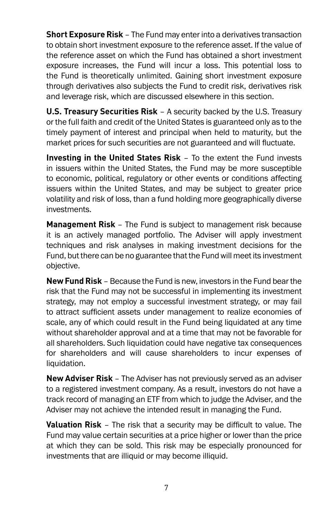**Short Exposure Risk** – The Fund may enter into a derivatives transaction to obtain short investment exposure to the reference asset. If the value of the reference asset on which the Fund has obtained a short investment exposure increases, the Fund will incur a loss. This potential loss to the Fund is theoretically unlimited. Gaining short investment exposure through derivatives also subjects the Fund to credit risk, derivatives risk and leverage risk, which are discussed elsewhere in this section.

**U.S. Treasury Securities Risk** – A security backed by the U.S. Treasury or the full faith and credit of the United States is guaranteed only as to the timely payment of interest and principal when held to maturity, but the market prices for such securities are not guaranteed and will fluctuate.

**Investing in the United States Risk** – To the extent the Fund invests in issuers within the United States, the Fund may be more susceptible to economic, political, regulatory or other events or conditions affecting issuers within the United States, and may be subject to greater price volatility and risk of loss, than a fund holding more geographically diverse investments.

**Management Risk** – The Fund is subject to management risk because it is an actively managed portfolio. The Adviser will apply investment techniques and risk analyses in making investment decisions for the Fund, but there can be no guarantee that the Fund will meet its investment objective.

**New Fund Risk** – Because the Fund is new, investors in the Fund bear the risk that the Fund may not be successful in implementing its investment strategy, may not employ a successful investment strategy, or may fail to attract sufficient assets under management to realize economies of scale, any of which could result in the Fund being liquidated at any time without shareholder approval and at a time that may not be favorable for all shareholders. Such liquidation could have negative tax consequences for shareholders and will cause shareholders to incur expenses of liquidation.

**New Adviser Risk** – The Adviser has not previously served as an adviser to a registered investment company. As a result, investors do not have a track record of managing an ETF from which to judge the Adviser, and the Adviser may not achieve the intended result in managing the Fund.

**Valuation Risk** – The risk that a security may be difficult to value. The Fund may value certain securities at a price higher or lower than the price at which they can be sold. This risk may be especially pronounced for investments that are illiquid or may become illiquid.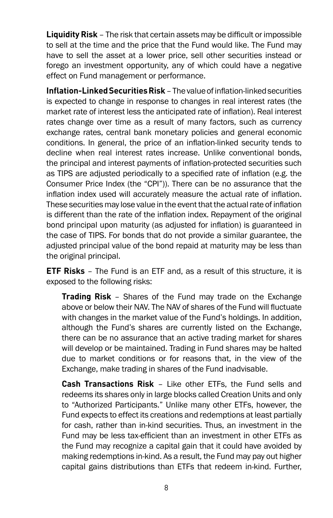**Liquidity Risk** – The risk that certain assets may be difficult or impossible to sell at the time and the price that the Fund would like. The Fund may have to sell the asset at a lower price, sell other securities instead or forego an investment opportunity, any of which could have a negative effect on Fund management or performance.

**Inflation-Linked Securities Risk** – The value of inflation-linked securities is expected to change in response to changes in real interest rates (the market rate of interest less the anticipated rate of inflation). Real interest rates change over time as a result of many factors, such as currency exchange rates, central bank monetary policies and general economic conditions. In general, the price of an inflation-linked security tends to decline when real interest rates increase. Unlike conventional bonds, the principal and interest payments of inflation-protected securities such as TIPS are adjusted periodically to a specified rate of inflation (e.g. the Consumer Price Index (the "CPI")). There can be no assurance that the inflation index used will accurately measure the actual rate of inflation. These securities may lose value in the event that the actual rate of inflation is different than the rate of the inflation index. Repayment of the original bond principal upon maturity (as adjusted for inflation) is guaranteed in the case of TIPS. For bonds that do not provide a similar guarantee, the adjusted principal value of the bond repaid at maturity may be less than the original principal.

**ETF Risks** – The Fund is an ETF and, as a result of this structure, it is exposed to the following risks:

**Trading Risk** – Shares of the Fund may trade on the Exchange above or below their NAV. The NAV of shares of the Fund will fluctuate with changes in the market value of the Fund's holdings. In addition, although the Fund's shares are currently listed on the Exchange, there can be no assurance that an active trading market for shares will develop or be maintained. Trading in Fund shares may be halted due to market conditions or for reasons that, in the view of the Exchange, make trading in shares of the Fund inadvisable.

**Cash Transactions Risk** – Like other ETFs, the Fund sells and redeems its shares only in large blocks called Creation Units and only to "Authorized Participants." Unlike many other ETFs, however, the Fund expects to effect its creations and redemptions at least partially for cash, rather than in-kind securities. Thus, an investment in the Fund may be less tax-efficient than an investment in other ETFs as the Fund may recognize a capital gain that it could have avoided by making redemptions in-kind. As a result, the Fund may pay out higher capital gains distributions than ETFs that redeem in-kind. Further,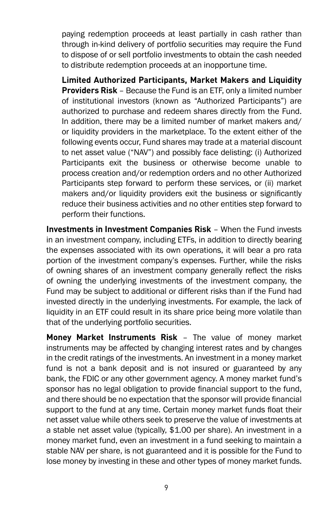paying redemption proceeds at least partially in cash rather than through in-kind delivery of portfolio securities may require the Fund to dispose of or sell portfolio investments to obtain the cash needed to distribute redemption proceeds at an inopportune time.

**Limited Authorized Participants, Market Makers and Liquidity Providers Risk** – Because the Fund is an ETF, only a limited number of institutional investors (known as "Authorized Participants") are authorized to purchase and redeem shares directly from the Fund. In addition, there may be a limited number of market makers and/ or liquidity providers in the marketplace. To the extent either of the following events occur, Fund shares may trade at a material discount to net asset value ("NAV") and possibly face delisting: (i) Authorized Participants exit the business or otherwise become unable to process creation and/or redemption orders and no other Authorized Participants step forward to perform these services, or (ii) market makers and/or liquidity providers exit the business or significantly reduce their business activities and no other entities step forward to perform their functions.

**Investments in Investment Companies Risk** – When the Fund invests in an investment company, including ETFs, in addition to directly bearing the expenses associated with its own operations, it will bear a pro rata portion of the investment company's expenses. Further, while the risks of owning shares of an investment company generally reflect the risks of owning the underlying investments of the investment company, the Fund may be subject to additional or different risks than if the Fund had invested directly in the underlying investments. For example, the lack of liquidity in an ETF could result in its share price being more volatile than that of the underlying portfolio securities.

**Money Market Instruments Risk** – The value of money market instruments may be affected by changing interest rates and by changes in the credit ratings of the investments. An investment in a money market fund is not a bank deposit and is not insured or guaranteed by any bank, the FDIC or any other government agency. A money market fund's sponsor has no legal obligation to provide financial support to the fund, and there should be no expectation that the sponsor will provide financial support to the fund at any time. Certain money market funds float their net asset value while others seek to preserve the value of investments at a stable net asset value (typically, \$1.00 per share). An investment in a money market fund, even an investment in a fund seeking to maintain a stable NAV per share, is not guaranteed and it is possible for the Fund to lose money by investing in these and other types of money market funds.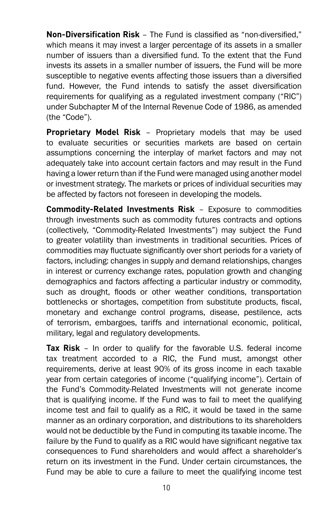**Non-Diversification Risk** – The Fund is classified as "non-diversified," which means it may invest a larger percentage of its assets in a smaller number of issuers than a diversified fund. To the extent that the Fund invests its assets in a smaller number of issuers, the Fund will be more susceptible to negative events affecting those issuers than a diversified fund. However, the Fund intends to satisfy the asset diversification requirements for qualifying as a regulated investment company ("RIC") under Subchapter M of the Internal Revenue Code of 1986, as amended (the "Code").

**Proprietary Model Risk** – Proprietary models that may be used to evaluate securities or securities markets are based on certain assumptions concerning the interplay of market factors and may not adequately take into account certain factors and may result in the Fund having a lower return than if the Fund were managed using another model or investment strategy. The markets or prices of individual securities may be affected by factors not foreseen in developing the models.

**Commodity-Related Investments Risk** – Exposure to commodities through investments such as commodity futures contracts and options (collectively, "Commodity-Related Investments") may subject the Fund to greater volatility than investments in traditional securities. Prices of commodities may fluctuate significantly over short periods for a variety of factors, including: changes in supply and demand relationships, changes in interest or currency exchange rates, population growth and changing demographics and factors affecting a particular industry or commodity, such as drought, floods or other weather conditions, transportation bottlenecks or shortages, competition from substitute products, fiscal, monetary and exchange control programs, disease, pestilence, acts of terrorism, embargoes, tariffs and international economic, political, military, legal and regulatory developments.

**Tax Risk** – In order to qualify for the favorable U.S. federal income tax treatment accorded to a RIC, the Fund must, amongst other requirements, derive at least 90% of its gross income in each taxable year from certain categories of income ("qualifying income"). Certain of the Fund's Commodity-Related Investments will not generate income that is qualifying income. If the Fund was to fail to meet the qualifying income test and fail to qualify as a RIC, it would be taxed in the same manner as an ordinary corporation, and distributions to its shareholders would not be deductible by the Fund in computing its taxable income. The failure by the Fund to qualify as a RIC would have significant negative tax consequences to Fund shareholders and would affect a shareholder's return on its investment in the Fund. Under certain circumstances, the Fund may be able to cure a failure to meet the qualifying income test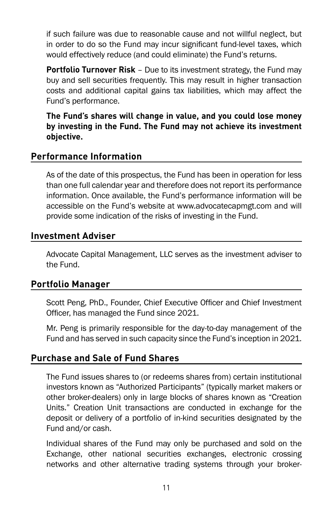if such failure was due to reasonable cause and not willful neglect, but in order to do so the Fund may incur significant fund-level taxes, which would effectively reduce (and could eliminate) the Fund's returns.

**Portfolio Turnover Risk** – Due to its investment strategy, the Fund may buy and sell securities frequently. This may result in higher transaction costs and additional capital gains tax liabilities, which may affect the Fund's performance.

**The Fund's shares will change in value, and you could lose money by investing in the Fund. The Fund may not achieve its investment objective.**

### **Performance Information**

As of the date of this prospectus, the Fund has been in operation for less than one full calendar year and therefore does not report its performance information. Once available, the Fund's performance information will be accessible on the Fund's website at www.advocatecapmgt.com and will provide some indication of the risks of investing in the Fund.

#### **Investment Adviser**

Advocate Capital Management, LLC serves as the investment adviser to the Fund.

#### **Portfolio Manager**

Scott Peng, PhD., Founder, Chief Executive Officer and Chief Investment Officer, has managed the Fund since 2021.

Mr. Peng is primarily responsible for the day-to-day management of the Fund and has served in such capacity since the Fund's inception in 2021.

#### **Purchase and Sale of Fund Shares**

The Fund issues shares to (or redeems shares from) certain institutional investors known as "Authorized Participants" (typically market makers or other broker-dealers) only in large blocks of shares known as "Creation Units." Creation Unit transactions are conducted in exchange for the deposit or delivery of a portfolio of in-kind securities designated by the Fund and/or cash.

Individual shares of the Fund may only be purchased and sold on the Exchange, other national securities exchanges, electronic crossing networks and other alternative trading systems through your broker